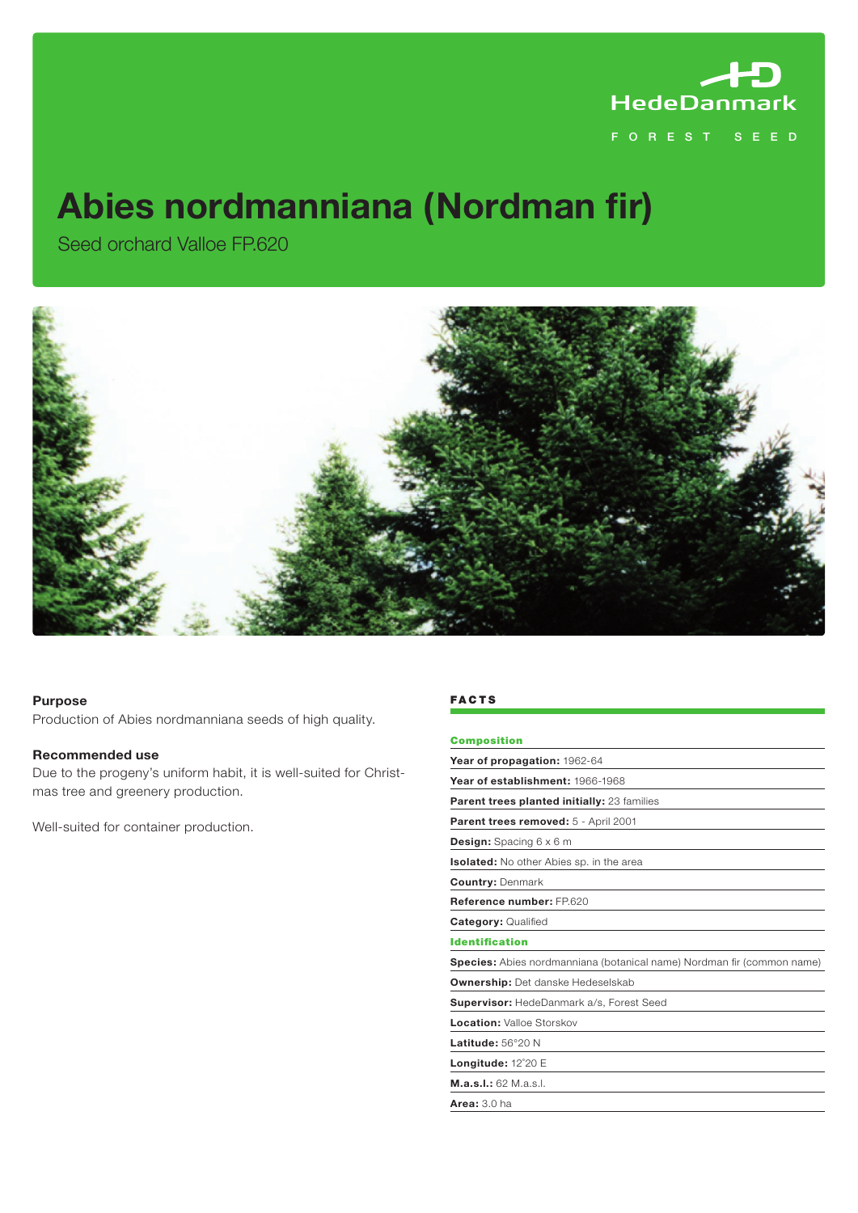

# **Abies nordmanniana (Nordman fir)**

Seed orchard Valloe FP.620



# **Purpose**

Production of Abies nordmanniana seeds of high quality.

## **Recommended use**

Due to the progeny's uniform habit, it is well-suited for Christmas tree and greenery production.

Well-suited for container production.

#### **FACTS**

| <b>Composition</b>                                                     |
|------------------------------------------------------------------------|
| Year of propagation: 1962-64                                           |
| Year of establishment: 1966-1968                                       |
| Parent trees planted initially: 23 families                            |
| Parent trees removed: 5 - April 2001                                   |
| <b>Design:</b> Spacing $6 \times 6$ m                                  |
| <b>Isolated:</b> No other Abies sp. in the area                        |
| <b>Country: Denmark</b>                                                |
| Reference number: FP.620                                               |
| <b>Category: Qualified</b>                                             |
| <b>Identification</b>                                                  |
| Species: Abies nordmanniana (botanical name) Nordman fir (common name) |
| Ownership: Det danske Hedeselskab                                      |
| <b>Supervisor:</b> HedeDanmark a/s, Forest Seed                        |
| Location: Valloe Storskov                                              |
| Latitude: $56°20$ N                                                    |
| Longitude: $12^{\circ}20 E$                                            |
| M.a.s.I.: 62 M.a.s.I.                                                  |
| Area: $3.0$ ha                                                         |
|                                                                        |